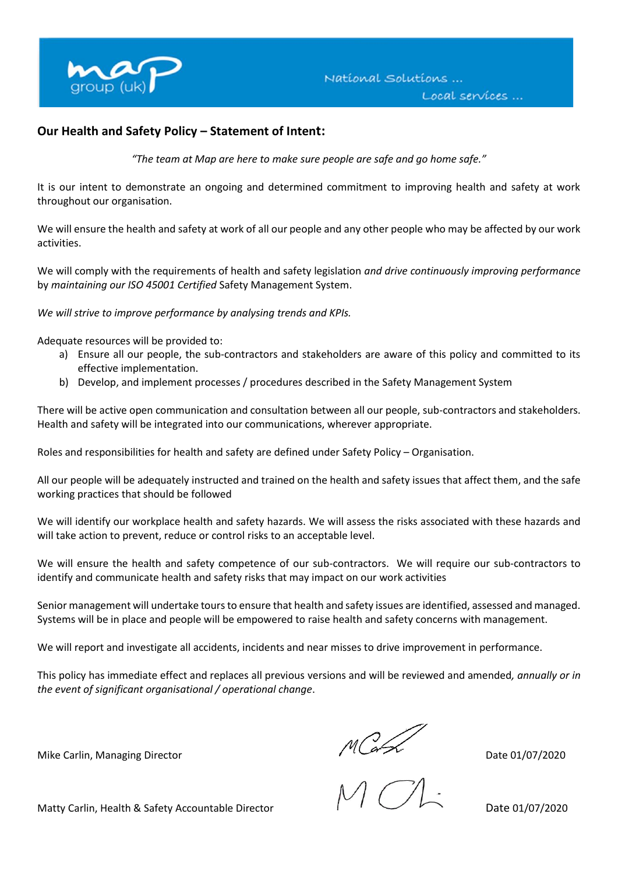

### **Our Health and Safety Policy – Statement of Intent:**

*"The team at Map are here to make sure people are safe and go home safe."*

It is our intent to demonstrate an ongoing and determined commitment to improving health and safety at work throughout our organisation.

We will ensure the health and safety at work of all our people and any other people who may be affected by our work activities.

We will comply with the requirements of health and safety legislation *and drive continuously improving performance*  by *maintaining our ISO 45001 Certified* Safety Management System.

*We will strive to improve performance by analysing trends and KPIs.*

Adequate resources will be provided to:

- a) Ensure all our people, the sub-contractors and stakeholders are aware of this policy and committed to its effective implementation.
- b) Develop, and implement processes / procedures described in the Safety Management System

There will be active open communication and consultation between all our people, sub-contractors and stakeholders. Health and safety will be integrated into our communications, wherever appropriate.

Roles and responsibilities for health and safety are defined under Safety Policy – Organisation.

All our people will be adequately instructed and trained on the health and safety issues that affect them, and the safe working practices that should be followed

We will identify our workplace health and safety hazards. We will assess the risks associated with these hazards and will take action to prevent, reduce or control risks to an acceptable level.

We will ensure the health and safety competence of our sub-contractors. We will require our sub-contractors to identify and communicate health and safety risks that may impact on our work activities

Senior management will undertake tours to ensure that health and safety issues are identified, assessed and managed. Systems will be in place and people will be empowered to raise health and safety concerns with management.

We will report and investigate all accidents, incidents and near misses to drive improvement in performance.

This policy has immediate effect and replaces all previous versions and will be reviewed and amended*, annually or in the event of significant organisational / operational change*.

Mike Carlin, Managing Director  $M$   $\alpha$  Date 01/07/2020

Matty Carlin, Health & Safety Accountable Director  $\overline{1}$   $\overline{1}$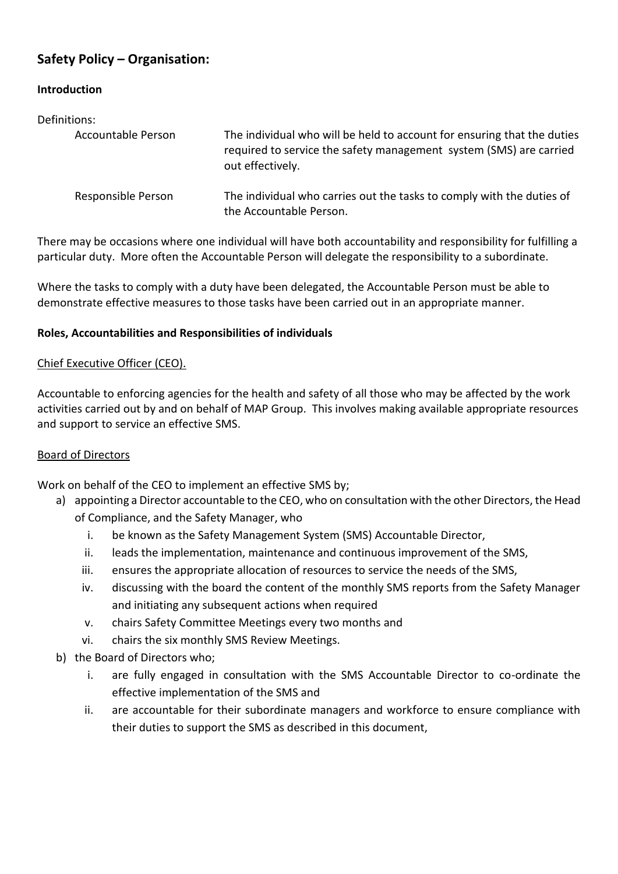# **Safety Policy – Organisation:**

### **Introduction**

#### Definitions:

| Accountable Person | The individual who will be held to account for ensuring that the duties<br>required to service the safety management system (SMS) are carried<br>out effectively. |
|--------------------|-------------------------------------------------------------------------------------------------------------------------------------------------------------------|
| Responsible Person | The individual who carries out the tasks to comply with the duties of<br>the Accountable Person.                                                                  |

There may be occasions where one individual will have both accountability and responsibility for fulfilling a particular duty. More often the Accountable Person will delegate the responsibility to a subordinate.

Where the tasks to comply with a duty have been delegated, the Accountable Person must be able to demonstrate effective measures to those tasks have been carried out in an appropriate manner.

#### **Roles, Accountabilities and Responsibilities of individuals**

#### Chief Executive Officer (CEO).

Accountable to enforcing agencies for the health and safety of all those who may be affected by the work activities carried out by and on behalf of MAP Group. This involves making available appropriate resources and support to service an effective SMS.

#### Board of Directors

Work on behalf of the CEO to implement an effective SMS by;

- a) appointing a Director accountable to the CEO, who on consultation with the other Directors, the Head of Compliance, and the Safety Manager, who
	- i. be known as the Safety Management System (SMS) Accountable Director,
	- ii. leads the implementation, maintenance and continuous improvement of the SMS,
	- iii. ensures the appropriate allocation of resources to service the needs of the SMS,
	- iv. discussing with the board the content of the monthly SMS reports from the Safety Manager and initiating any subsequent actions when required
	- v. chairs Safety Committee Meetings every two months and
	- vi. chairs the six monthly SMS Review Meetings.
- b) the Board of Directors who;
	- i. are fully engaged in consultation with the SMS Accountable Director to co-ordinate the effective implementation of the SMS and
	- ii. are accountable for their subordinate managers and workforce to ensure compliance with their duties to support the SMS as described in this document,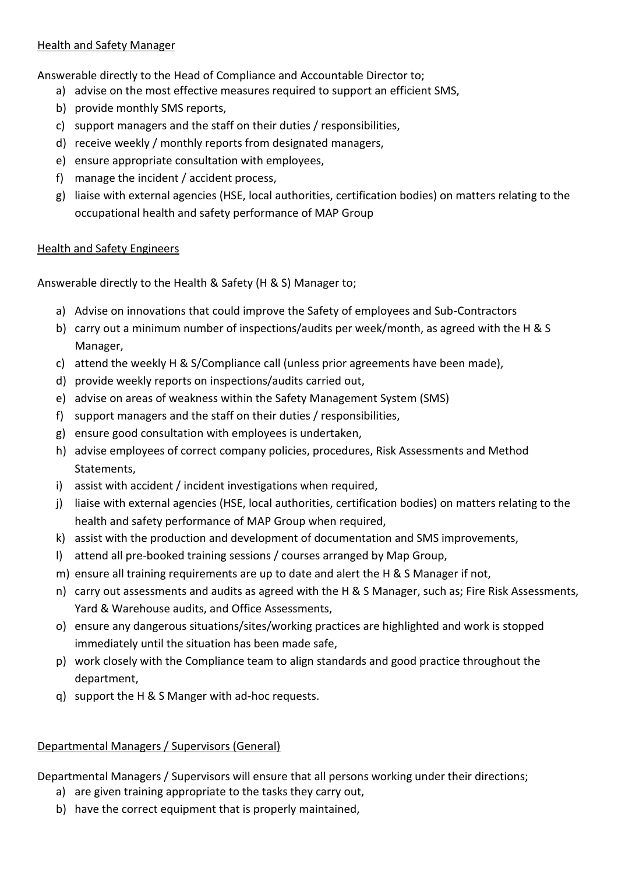### Health and Safety Manager

Answerable directly to the Head of Compliance and Accountable Director to;

- a) advise on the most effective measures required to support an efficient SMS,
- b) provide monthly SMS reports,
- c) support managers and the staff on their duties / responsibilities,
- d) receive weekly / monthly reports from designated managers,
- e) ensure appropriate consultation with employees,
- f) manage the incident / accident process,
- g) liaise with external agencies (HSE, local authorities, certification bodies) on matters relating to the occupational health and safety performance of MAP Group

### Health and Safety Engineers

Answerable directly to the Health & Safety (H & S) Manager to;

- a) Advise on innovations that could improve the Safety of employees and Sub-Contractors
- b) carry out a minimum number of inspections/audits per week/month, as agreed with the H & S Manager,
- c) attend the weekly H & S/Compliance call (unless prior agreements have been made),
- d) provide weekly reports on inspections/audits carried out,
- e) advise on areas of weakness within the Safety Management System (SMS)
- f) support managers and the staff on their duties / responsibilities,
- g) ensure good consultation with employees is undertaken,
- h) advise employees of correct company policies, procedures, Risk Assessments and Method Statements,
- i) assist with accident / incident investigations when required,
- j) liaise with external agencies (HSE, local authorities, certification bodies) on matters relating to the health and safety performance of MAP Group when required,
- k) assist with the production and development of documentation and SMS improvements,
- l) attend all pre-booked training sessions / courses arranged by Map Group,
- m) ensure all training requirements are up to date and alert the H & S Manager if not,
- n) carry out assessments and audits as agreed with the H & S Manager, such as; Fire Risk Assessments, Yard & Warehouse audits, and Office Assessments,
- o) ensure any dangerous situations/sites/working practices are highlighted and work is stopped immediately until the situation has been made safe,
- p) work closely with the Compliance team to align standards and good practice throughout the department,
- q) support the H & S Manger with ad-hoc requests.

### Departmental Managers / Supervisors (General)

Departmental Managers / Supervisors will ensure that all persons working under their directions;

- a) are given training appropriate to the tasks they carry out,
- b) have the correct equipment that is properly maintained,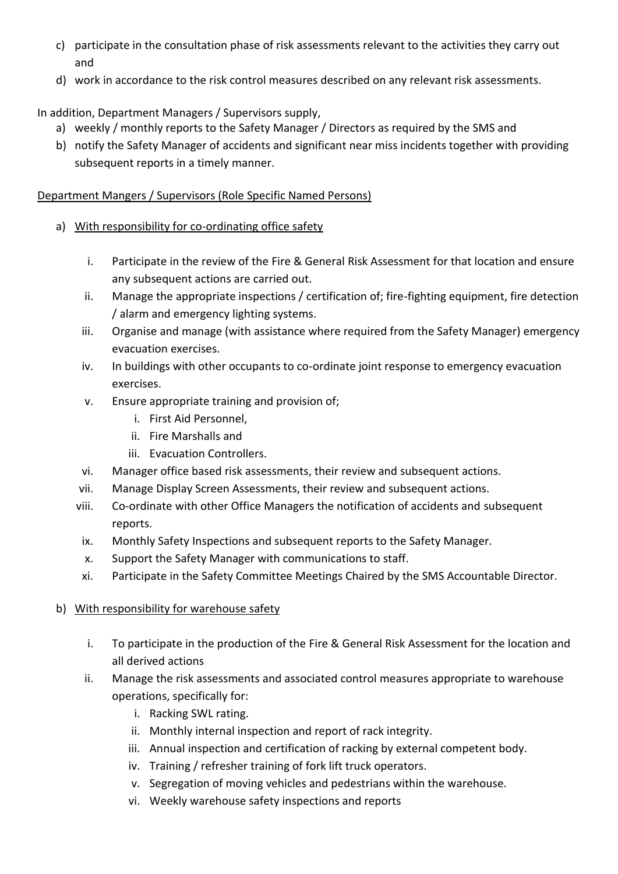- c) participate in the consultation phase of risk assessments relevant to the activities they carry out and
- d) work in accordance to the risk control measures described on any relevant risk assessments.

## In addition, Department Managers / Supervisors supply,

- a) weekly / monthly reports to the Safety Manager / Directors as required by the SMS and
- b) notify the Safety Manager of accidents and significant near miss incidents together with providing subsequent reports in a timely manner.

### Department Mangers / Supervisors (Role Specific Named Persons)

### a) With responsibility for co-ordinating office safety

- i. Participate in the review of the Fire & General Risk Assessment for that location and ensure any subsequent actions are carried out.
- ii. Manage the appropriate inspections / certification of; fire-fighting equipment, fire detection / alarm and emergency lighting systems.
- iii. Organise and manage (with assistance where required from the Safety Manager) emergency evacuation exercises.
- iv. In buildings with other occupants to co-ordinate joint response to emergency evacuation exercises.
- v. Ensure appropriate training and provision of;
	- i. First Aid Personnel,
	- ii. Fire Marshalls and
	- iii. Evacuation Controllers.
- vi. Manager office based risk assessments, their review and subsequent actions.
- vii. Manage Display Screen Assessments, their review and subsequent actions.
- viii. Co-ordinate with other Office Managers the notification of accidents and subsequent reports.
- ix. Monthly Safety Inspections and subsequent reports to the Safety Manager.
- x. Support the Safety Manager with communications to staff.
- xi. Participate in the Safety Committee Meetings Chaired by the SMS Accountable Director.

## b) With responsibility for warehouse safety

- i. To participate in the production of the Fire & General Risk Assessment for the location and all derived actions
- ii. Manage the risk assessments and associated control measures appropriate to warehouse operations, specifically for:
	- i. Racking SWL rating.
	- ii. Monthly internal inspection and report of rack integrity.
	- iii. Annual inspection and certification of racking by external competent body.
	- iv. Training / refresher training of fork lift truck operators.
	- v. Segregation of moving vehicles and pedestrians within the warehouse.
	- vi. Weekly warehouse safety inspections and reports